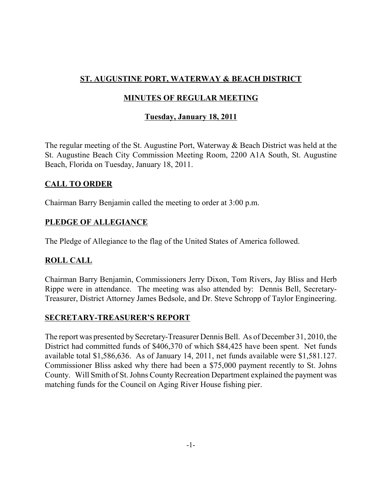# **ST. AUGUSTINE PORT, WATERWAY & BEACH DISTRICT**

## **MINUTES OF REGULAR MEETING**

## **Tuesday, January 18, 2011**

The regular meeting of the St. Augustine Port, Waterway & Beach District was held at the St. Augustine Beach City Commission Meeting Room, 2200 A1A South, St. Augustine Beach, Florida on Tuesday, January 18, 2011.

## **CALL TO ORDER**

Chairman Barry Benjamin called the meeting to order at 3:00 p.m.

## **PLEDGE OF ALLEGIANCE**

The Pledge of Allegiance to the flag of the United States of America followed.

## **ROLL CALL**

Chairman Barry Benjamin, Commissioners Jerry Dixon, Tom Rivers, Jay Bliss and Herb Rippe were in attendance. The meeting was also attended by: Dennis Bell, Secretary-Treasurer, District Attorney James Bedsole, and Dr. Steve Schropp of Taylor Engineering.

## **SECRETARY-TREASURER'S REPORT**

The report was presented by Secretary-Treasurer Dennis Bell. As of December 31, 2010, the District had committed funds of \$406,370 of which \$84,425 have been spent. Net funds available total \$1,586,636. As of January 14, 2011, net funds available were \$1,581.127. Commissioner Bliss asked why there had been a \$75,000 payment recently to St. Johns County. Will Smith of St. Johns County Recreation Department explained the payment was matching funds for the Council on Aging River House fishing pier.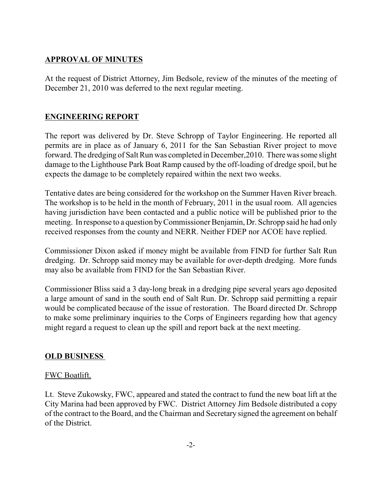### **APPROVAL OF MINUTES**

At the request of District Attorney, Jim Bedsole, review of the minutes of the meeting of December 21, 2010 was deferred to the next regular meeting.

## **ENGINEERING REPORT**

The report was delivered by Dr. Steve Schropp of Taylor Engineering. He reported all permits are in place as of January 6, 2011 for the San Sebastian River project to move forward. The dredging of Salt Run was completed in December,2010. There was some slight damage to the Lighthouse Park Boat Ramp caused by the off-loading of dredge spoil, but he expects the damage to be completely repaired within the next two weeks.

Tentative dates are being considered for the workshop on the Summer Haven River breach. The workshop is to be held in the month of February, 2011 in the usual room. All agencies having jurisdiction have been contacted and a public notice will be published prior to the meeting. In response to a question by Commissioner Benjamin, Dr. Schropp said he had only received responses from the county and NERR. Neither FDEP nor ACOE have replied.

Commissioner Dixon asked if money might be available from FIND for further Salt Run dredging. Dr. Schropp said money may be available for over-depth dredging. More funds may also be available from FIND for the San Sebastian River.

Commissioner Bliss said a 3 day-long break in a dredging pipe several years ago deposited a large amount of sand in the south end of Salt Run. Dr. Schropp said permitting a repair would be complicated because of the issue of restoration. The Board directed Dr. Schropp to make some preliminary inquiries to the Corps of Engineers regarding how that agency might regard a request to clean up the spill and report back at the next meeting.

## **OLD BUSINESS**

#### FWC Boatlift.

Lt. Steve Zukowsky, FWC, appeared and stated the contract to fund the new boat lift at the City Marina had been approved by FWC. District Attorney Jim Bedsole distributed a copy of the contract to the Board, and the Chairman and Secretary signed the agreement on behalf of the District.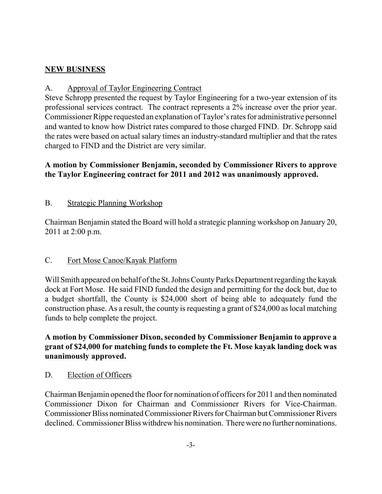## **NEW BUSINESS**

### A. Approval of Taylor Engineering Contract

Steve Schropp presented the request by Taylor Engineering for a two-year extension of its professional services contract. The contract represents a 2% increase over the prior year. Commissioner Rippe requested an explanation of Taylor's rates for administrative personnel and wanted to know how District rates compared to those charged FIND. Dr. Schropp said the rates were based on actual salary times an industry-standard multiplier and that the rates charged to FIND and the District are very similar.

## **A motion by Commissioner Benjamin, seconded by Commissioner Rivers to approve the Taylor Engineering contract for 2011 and 2012 was unanimously approved.**

### B. Strategic Planning Workshop

Chairman Benjamin stated the Board will hold a strategic planning workshop on January 20, 2011 at 2:00 p.m.

## C. Fort Mose Canoe/Kayak Platform

Will Smith appeared on behalf of the St. Johns County Parks Department regarding the kayak dock at Fort Mose. He said FIND funded the design and permitting for the dock but, due to a budget shortfall, the County is \$24,000 short of being able to adequately fund the construction phase. As a result, the county is requesting a grant of \$24,000 as local matching funds to help complete the project.

**A motion by Commissioner Dixon, seconded by Commissioner Benjamin to approve a grant of \$24,000 for matching funds to complete the Ft. Mose kayak landing dock was unanimously approved.**

#### D. Election of Officers

Chairman Benjamin opened the floor for nomination of officers for 2011 and then nominated Commissioner Dixon for Chairman and Commissioner Rivers for Vice-Chairman. Commissioner Bliss nominated Commissioner Rivers for Chairman but Commissioner Rivers declined. Commissioner Bliss withdrew his nomination. There were no further nominations.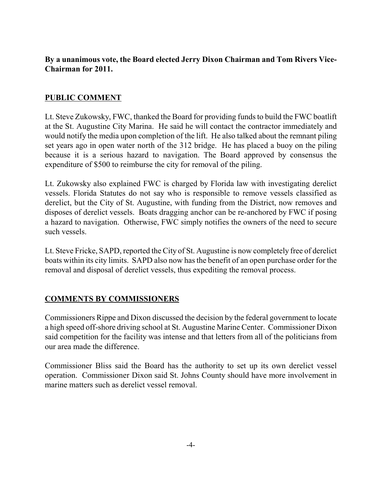### **By a unanimous vote, the Board elected Jerry Dixon Chairman and Tom Rivers Vice-Chairman for 2011.**

### **PUBLIC COMMENT**

Lt. Steve Zukowsky, FWC, thanked the Board for providing funds to build the FWC boatlift at the St. Augustine City Marina. He said he will contact the contractor immediately and would notify the media upon completion of the lift. He also talked about the remnant piling set years ago in open water north of the 312 bridge. He has placed a buoy on the piling because it is a serious hazard to navigation. The Board approved by consensus the expenditure of \$500 to reimburse the city for removal of the piling.

Lt. Zukowsky also explained FWC is charged by Florida law with investigating derelict vessels. Florida Statutes do not say who is responsible to remove vessels classified as derelict, but the City of St. Augustine, with funding from the District, now removes and disposes of derelict vessels. Boats dragging anchor can be re-anchored by FWC if posing a hazard to navigation. Otherwise, FWC simply notifies the owners of the need to secure such vessels.

Lt. Steve Fricke, SAPD, reported the City of St. Augustine is now completely free of derelict boats within its city limits. SAPD also now has the benefit of an open purchase order for the removal and disposal of derelict vessels, thus expediting the removal process.

#### **COMMENTS BY COMMISSIONERS**

Commissioners Rippe and Dixon discussed the decision by the federal government to locate a high speed off-shore driving school at St. Augustine Marine Center. Commissioner Dixon said competition for the facility was intense and that letters from all of the politicians from our area made the difference.

Commissioner Bliss said the Board has the authority to set up its own derelict vessel operation. Commissioner Dixon said St. Johns County should have more involvement in marine matters such as derelict vessel removal.